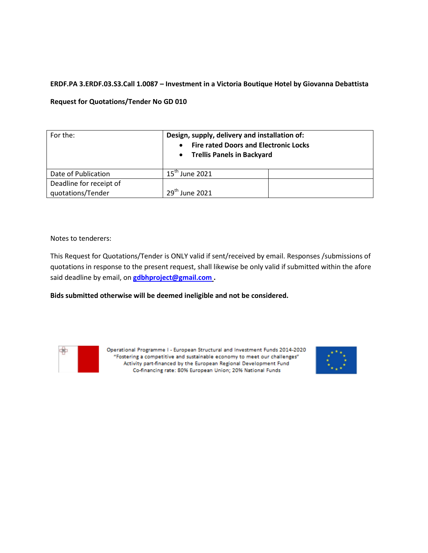# **ERDF.PA 3.ERDF.03.S3.Call 1.0087 – Investment in a Victoria Boutique Hotel by Giovanna Debattista**

### **Request for Quotations/Tender No GD 010**

| For the:                | Design, supply, delivery and installation of:<br><b>Fire rated Doors and Electronic Locks</b><br><b>Trellis Panels in Backyard</b><br>$\bullet$ |  |
|-------------------------|-------------------------------------------------------------------------------------------------------------------------------------------------|--|
| Date of Publication     | $15th$ June 2021                                                                                                                                |  |
| Deadline for receipt of |                                                                                                                                                 |  |
| quotations/Tender       | $29th$ June 2021                                                                                                                                |  |

Notes to tenderers:

This Request for Quotations/Tender is ONLY valid if sent/received by email. Responses /submissions of quotations in response to the present request, shall likewise be only valid if submitted within the afore said deadline by email, on **[gdbhproject@gmail.com](mailto:gdbhproject@gmail.com) .** 

**Bids submitted otherwise will be deemed ineligible and not be considered.**



Operational Programme I - European Structural and Investment Funds 2014-2020 "Fostering a competitive and sustainable economy to meet our challenges" Activity part-financed by the European Regional Development Fund Co-financing rate: 80% European Union; 20% National Funds

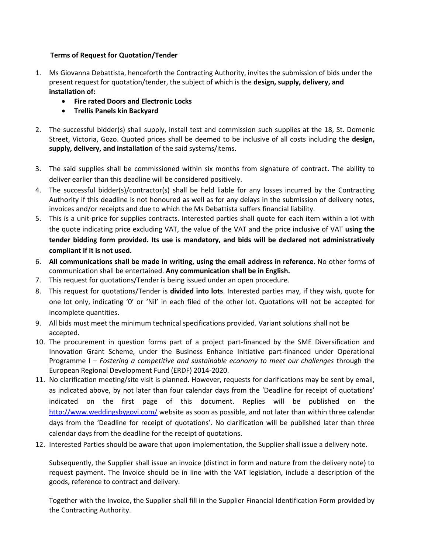# **Terms of Request for Quotation/Tender**

- 1. Ms Giovanna Debattista, henceforth the Contracting Authority, invites the submission of bids under the present request for quotation/tender, the subject of which is the **design, supply, delivery, and installation of:** 
	- **Fire rated Doors and Electronic Locks**
	- **Trellis Panels kin Backyard**
- 2. The successful bidder(s) shall supply, install test and commission such supplies at the 18, St. Domenic Street, Victoria, Gozo. Quoted prices shall be deemed to be inclusive of all costs including the **design, supply, delivery, and installation** of the said systems/items.
- 3. The said supplies shall be commissioned within six months from signature of contract**.** The ability to deliver earlier than this deadline will be considered positively.
- 4. The successful bidder(s)/contractor(s) shall be held liable for any losses incurred by the Contracting Authority if this deadline is not honoured as well as for any delays in the submission of delivery notes, invoices and/or receipts and due to which the Ms Debattista suffers financial liability.
- 5. This is a unit-price for supplies contracts. Interested parties shall quote for each item within a lot with the quote indicating price excluding VAT, the value of the VAT and the price inclusive of VAT **using the tender bidding form provided. Its use is mandatory, and bids will be declared not administratively compliant if it is not used.**
- 6. **All communications shall be made in writing, using the email address in reference**. No other forms of communication shall be entertained. **Any communication shall be in English.**
- 7. This request for quotations/Tender is being issued under an open procedure.
- 8. This request for quotations/Tender is **divided into lots**. Interested parties may, if they wish, quote for one lot only, indicating '0' or 'Nil' in each filed of the other lot. Quotations will not be accepted for incomplete quantities.
- 9. All bids must meet the minimum technical specifications provided. Variant solutions shall not be accepted.
- 10. The procurement in question forms part of a project part-financed by the SME Diversification and Innovation Grant Scheme, under the Business Enhance Initiative part-financed under Operational Programme I – *Fostering a competitive and sustainable economy to meet our challenges* through the European Regional Development Fund (ERDF) 2014-2020.
- 11. No clarification meeting/site visit is planned. However, requests for clarifications may be sent by email, as indicated above, by not later than four calendar days from the 'Deadline for receipt of quotations' indicated on the first page of this document. Replies will be published on the <http://www.weddingsbygovi.com/> website as soon as possible, and not later than within three calendar days from the 'Deadline for receipt of quotations'. No clarification will be published later than three calendar days from the deadline for the receipt of quotations.
- 12. Interested Parties should be aware that upon implementation, the Supplier shall issue a delivery note.

Subsequently, the Supplier shall issue an invoice (distinct in form and nature from the delivery note) to request payment. The Invoice should be in line with the VAT legislation, include a description of the goods, reference to contract and delivery.

Together with the Invoice, the Supplier shall fill in the Supplier Financial Identification Form provided by the Contracting Authority.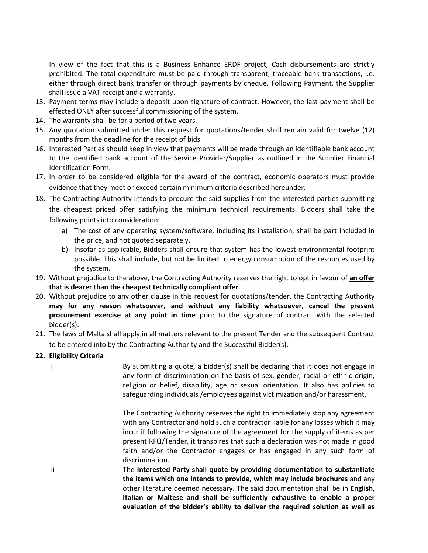In view of the fact that this is a Business Enhance ERDF project, Cash disbursements are strictly prohibited. The total expenditure must be paid through transparent, traceable bank transactions, i.e. either through direct bank transfer or through payments by cheque. Following Payment, the Supplier shall issue a VAT receipt and a warranty.

- 13. Payment terms may include a deposit upon signature of contract. However, the last payment shall be effected ONLY after successful commissioning of the system.
- 14. The warranty shall be for a period of two years.
- 15. Any quotation submitted under this request for quotations/tender shall remain valid for twelve (12) months from the deadline for the receipt of bids.
- 16. Interested Parties should keep in view that payments will be made through an identifiable bank account to the identified bank account of the Service Provider/Supplier as outlined in the Supplier Financial Identification Form.
- 17. In order to be considered eligible for the award of the contract, economic operators must provide evidence that they meet or exceed certain minimum criteria described hereunder.
- 18. The Contracting Authority intends to procure the said supplies from the interested parties submitting the cheapest priced offer satisfying the minimum technical requirements. Bidders shall take the following points into consideration:
	- a) The cost of any operating system/software, including its installation, shall be part included in the price, and not quoted separately.
	- b) Insofar as applicable, Bidders shall ensure that system has the lowest environmental footprint possible. This shall include, but not be limited to energy consumption of the resources used by the system.
- 19. Without prejudice to the above, the Contracting Authority reserves the right to opt in favour of **an offer that is dearer than the cheapest technically compliant offer**.
- 20. Without prejudice to any other clause in this request for quotations/tender, the Contracting Authority **may for any reason whatsoever, and without any liability whatsoever, cancel the present procurement exercise at any point in time** prior to the signature of contract with the selected bidder(s).
- 21. The laws of Malta shall apply in all matters relevant to the present Tender and the subsequent Contract to be entered into by the Contracting Authority and the Successful Bidder(s).
- **22. Eligibility Criteria**
	- i By submitting a quote, a bidder(s) shall be declaring that it does not engage in any form of discrimination on the basis of sex, gender, racial or ethnic origin, religion or belief, disability, age or sexual orientation. It also has policies to safeguarding individuals /employees against victimization and/or harassment.

The Contracting Authority reserves the right to immediately stop any agreement with any Contractor and hold such a contractor liable for any losses which it may incur if following the signature of the agreement for the supply of items as per present RFQ/Tender, it transpires that such a declaration was not made in good faith and/or the Contractor engages or has engaged in any such form of discrimination.

ii The **Interested Party shall quote by providing documentation to substantiate the items which one intends to provide, which may include brochures** and any other literature deemed necessary. The said documentation shall be in **English, Italian or Maltese and shall be sufficiently exhaustive to enable a proper evaluation of the bidder's ability to deliver the required solution as well as**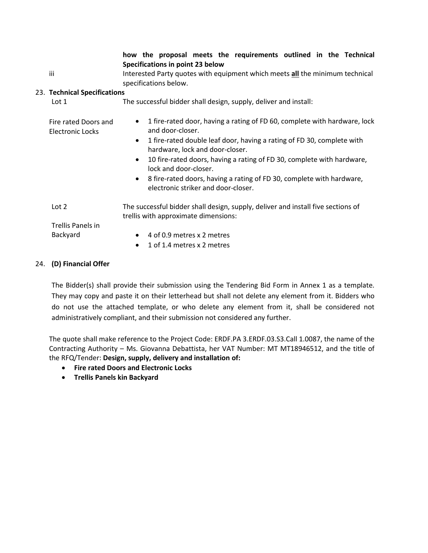**how the proposal meets the requirements outlined in the Technical Specifications in point 23 below**

iii Interested Party quotes with equipment which meets **all** the minimum technical specifications below.

### 23. **Technical Specifications**

| Lot 1                                    | The successful bidder shall design, supply, deliver and install:                                                                                                                                                                                                                                                                                                                                                                                                       |  |  |
|------------------------------------------|------------------------------------------------------------------------------------------------------------------------------------------------------------------------------------------------------------------------------------------------------------------------------------------------------------------------------------------------------------------------------------------------------------------------------------------------------------------------|--|--|
| Fire rated Doors and<br>Electronic Locks | 1 fire-rated door, having a rating of FD 60, complete with hardware, lock<br>$\bullet$<br>and door-closer.<br>1 fire-rated double leaf door, having a rating of FD 30, complete with<br>$\bullet$<br>hardware, lock and door-closer.<br>10 fire-rated doors, having a rating of FD 30, complete with hardware,<br>$\bullet$<br>lock and door-closer.<br>• 8 fire-rated doors, having a rating of FD 30, complete with hardware,<br>electronic striker and door-closer. |  |  |
| Lot <sub>2</sub>                         | The successful bidder shall design, supply, deliver and install five sections of<br>trellis with approximate dimensions:                                                                                                                                                                                                                                                                                                                                               |  |  |
| Trellis Panels in                        |                                                                                                                                                                                                                                                                                                                                                                                                                                                                        |  |  |
| Backyard                                 | 4 of 0.9 metres x 2 metres<br>$\bullet$                                                                                                                                                                                                                                                                                                                                                                                                                                |  |  |
|                                          | 1 of 1.4 metres x 2 metres<br>$\bullet$                                                                                                                                                                                                                                                                                                                                                                                                                                |  |  |

## 24. **(D) Financial Offer**

The Bidder(s) shall provide their submission using the Tendering Bid Form in Annex 1 as a template. They may copy and paste it on their letterhead but shall not delete any element from it. Bidders who do not use the attached template, or who delete any element from it, shall be considered not administratively compliant, and their submission not considered any further.

The quote shall make reference to the Project Code: ERDF.PA 3.ERDF.03.S3.Call 1.0087, the name of the Contracting Authority – Ms. Giovanna Debattista, her VAT Number: MT MT18946512, and the title of the RFQ/Tender: **Design, supply, delivery and installation of:** 

- **Fire rated Doors and Electronic Locks**
- **Trellis Panels kin Backyard**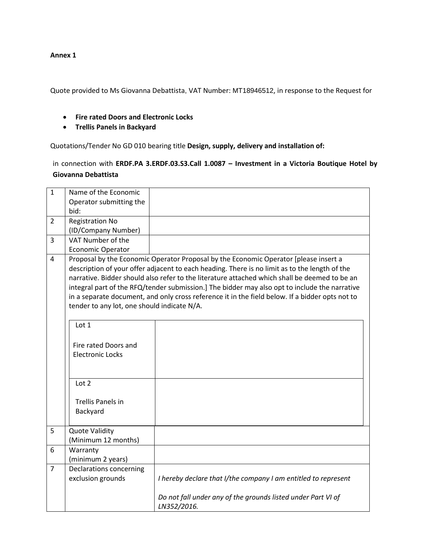#### **Annex 1**

Quote provided to Ms Giovanna Debattista, VAT Number: MT18946512, in response to the Request for

- **Fire rated Doors and Electronic Locks**
- **Trellis Panels in Backyard**

Quotations/Tender No GD 010 bearing title **Design, supply, delivery and installation of:** 

in connection with **ERDF.PA 3.ERDF.03.S3.Call 1.0087 – Investment in a Victoria Boutique Hotel by Giovanna Debattista**

| Operator submitting the                   |                                                                                                 |  |  |  |  |  |
|-------------------------------------------|-------------------------------------------------------------------------------------------------|--|--|--|--|--|
| bid:                                      |                                                                                                 |  |  |  |  |  |
| <b>Registration No</b><br>2               |                                                                                                 |  |  |  |  |  |
| (ID/Company Number)                       |                                                                                                 |  |  |  |  |  |
| VAT Number of the<br>3                    |                                                                                                 |  |  |  |  |  |
| <b>Economic Operator</b>                  |                                                                                                 |  |  |  |  |  |
| 4                                         | Proposal by the Economic Operator Proposal by the Economic Operator [please insert a            |  |  |  |  |  |
|                                           | description of your offer adjacent to each heading. There is no limit as to the length of the   |  |  |  |  |  |
|                                           | narrative. Bidder should also refer to the literature attached which shall be deemed to be an   |  |  |  |  |  |
|                                           | integral part of the RFQ/tender submission.] The bidder may also opt to include the narrative   |  |  |  |  |  |
|                                           | in a separate document, and only cross reference it in the field below. If a bidder opts not to |  |  |  |  |  |
|                                           | tender to any lot, one should indicate N/A.                                                     |  |  |  |  |  |
|                                           |                                                                                                 |  |  |  |  |  |
| Lot 1                                     |                                                                                                 |  |  |  |  |  |
|                                           |                                                                                                 |  |  |  |  |  |
| Fire rated Doors and                      |                                                                                                 |  |  |  |  |  |
| <b>Electronic Locks</b>                   |                                                                                                 |  |  |  |  |  |
|                                           |                                                                                                 |  |  |  |  |  |
|                                           |                                                                                                 |  |  |  |  |  |
| Lot 2                                     |                                                                                                 |  |  |  |  |  |
|                                           |                                                                                                 |  |  |  |  |  |
| <b>Trellis Panels in</b>                  |                                                                                                 |  |  |  |  |  |
| Backyard                                  |                                                                                                 |  |  |  |  |  |
| <b>Quote Validity</b><br>5                |                                                                                                 |  |  |  |  |  |
| (Minimum 12 months)                       |                                                                                                 |  |  |  |  |  |
| 6<br>Warranty                             |                                                                                                 |  |  |  |  |  |
| (minimum 2 years)                         |                                                                                                 |  |  |  |  |  |
| Declarations concerning<br>$\overline{7}$ |                                                                                                 |  |  |  |  |  |
| exclusion grounds                         | I hereby declare that I/the company I am entitled to represent                                  |  |  |  |  |  |
|                                           |                                                                                                 |  |  |  |  |  |
|                                           | Do not fall under any of the grounds listed under Part VI of                                    |  |  |  |  |  |
| LN352/2016.                               |                                                                                                 |  |  |  |  |  |